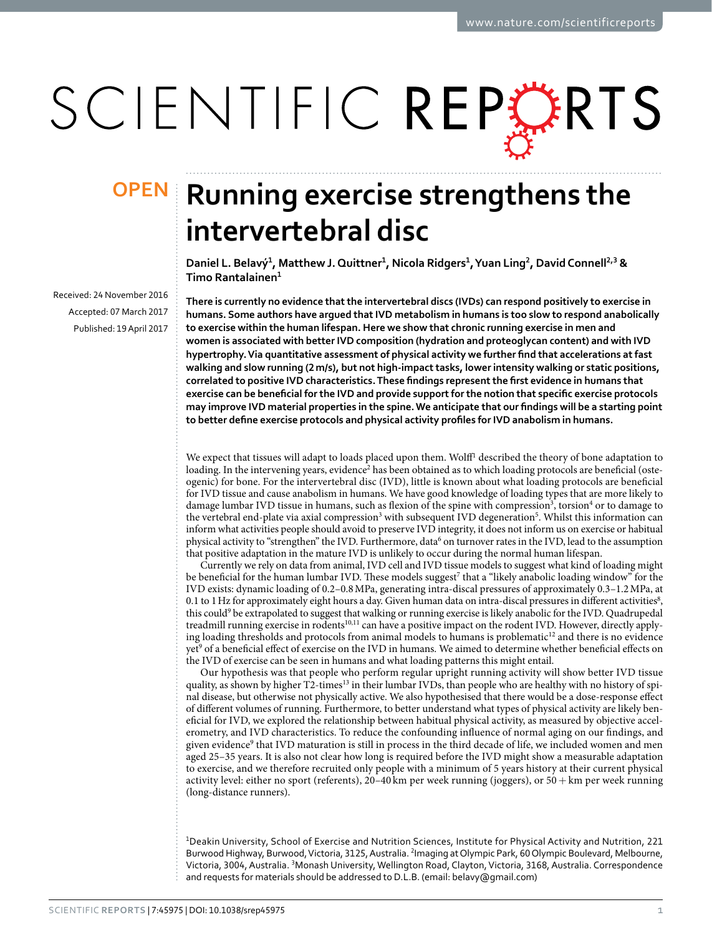# SCIENTIFIC REPORTS

Received: 24 November 2016 accepted: 07 March 2017 Published: 19 April 2017

## **OPEN** Running exercise strengthens the **intervertebral disc**

**Daniel L. Belavý<sup>1</sup>, Matthew J.Quittner<sup>1</sup>, Nicola Ridgers<sup>1</sup>, Yuan Ling<sup>2</sup>, DavidConnell<sup>2</sup>,<sup>3</sup> & Timo Rantalainen<sup>1</sup>**

**There is currently no evidence that the intervertebral discs (IVDs) can respond positively to exercise in humans. Some authors have argued that IVD metabolism in humans is too slow to respond anabolically to exercise within the human lifespan. Here we show that chronic running exercise in men and women is associated with better IVD composition (hydration and proteoglycan content) and with IVD hypertrophy. Via quantitative assessment of physical activity we further find that accelerations at fast walking and slow running (2m/s), but not high-impact tasks, lower intensity walking or static positions, correlated to positive IVD characteristics. These findings represent the first evidence in humans that exercise can be beneficial for the IVD and provide support for the notion that specific exercise protocols may improve IVD material properties in the spine. We anticipate that our findings will be a starting point to better define exercise protocols and physical activity profiles for IVD anabolism in humans.**

We expect that tissues will adapt to loads placed upon them. Wolff<sup>1</sup> described the theory of bone adaptation to loading. In the intervening years, evidence<sup>2</sup> has been obtained as to which loading protocols are beneficial (osteogenic) for bone. For the intervertebral disc (IVD), little is known about what loading protocols are beneficial for IVD tissue and cause anabolism in humans. We have good knowledge of loading types that are more likely to damage lumbar IVD tissue in humans, such as flexion of the spine with compression<sup>3</sup>, torsion<sup>4</sup> or to damage to the vertebral end-plate via axial compression<sup>[3](#page-6-2)</sup> with subsequent IVD degeneration<sup>[5](#page-6-4)</sup>. Whilst this information can inform what activities people should avoid to preserve IVD integrity, it does not inform us on exercise or habitual physical activity to "strengthen" the IVD. Furthermore, data<sup>6</sup> on turnover rates in the IVD, lead to the assumption that positive adaptation in the mature IVD is unlikely to occur during the normal human lifespan.

Currently we rely on data from animal, IVD cell and IVD tissue models to suggest what kind of loading might be beneficial for the human lumbar IVD. These models suggest<sup>7</sup> that a "likely anabolic loading window" for the IVD exists: dynamic loading of 0.2–0.8MPa, generating intra-discal pressures of approximately 0.3–1.2MPa, at 0.1 to 1 Hz for approximately eight hours a day. Given human data on intra-discal pressures in different activities $^8$  $^8$ , this could<sup>9</sup> be extrapolated to suggest that walking or running exercise is likely anabolic for the IVD. Quadrupedal treadmill running exercise in rodents<sup>10,11</sup> can have a positive impact on the rodent IVD. However, directly applying loading thresholds and protocols from animal models to humans is problematic<sup>12</sup> and there is no evidence yet<sup>9</sup> of a beneficial effect of exercise on the IVD in humans. We aimed to determine whether beneficial effects on the IVD of exercise can be seen in humans and what loading patterns this might entail.

Our hypothesis was that people who perform regular upright running activity will show better IVD tissue quality, as shown by higher T2-times<sup>[13](#page-6-12)</sup> in their lumbar IVDs, than people who are healthy with no history of spinal disease, but otherwise not physically active. We also hypothesised that there would be a dose-response effect of different volumes of running. Furthermore, to better understand what types of physical activity are likely beneficial for IVD, we explored the relationship between habitual physical activity, as measured by objective accelerometry, and IVD characteristics. To reduce the confounding influence of normal aging on our findings, and given evidence<sup>9</sup> that IVD maturation is still in process in the third decade of life, we included women and men aged 25–35 years. It is also not clear how long is required before the IVD might show a measurable adaptation to exercise, and we therefore recruited only people with a minimum of 5 years history at their current physical activity level: either no sport (referents), 20–40 km per week running (joggers), or  $50 +$  km per week running (long-distance runners).

1Deakin University, School of Exercise and Nutrition Sciences, Institute for Physical Activity and Nutrition, 221 Burwood Highway, Burwood, Victoria, 3125, Australia. <sup>2</sup>Imaging at Olympic Park, 60 Olympic Boulevard, Melbourne, Victoria, 3004, Australia. <sup>3</sup>Monash University, Wellington Road, Clayton, Victoria, 3168, Australia. Correspondence and requests for materials should be addressed to D.L.B. (email: [belavy@gmail.com\)](mailto:belavy@gmail.com)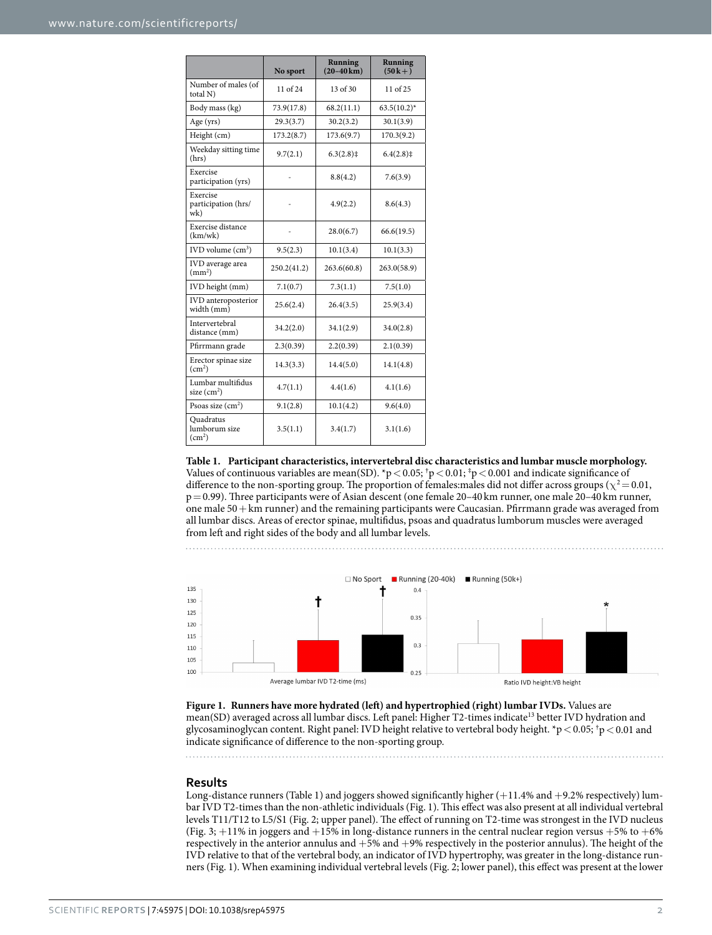<span id="page-1-0"></span>

|                                                  | No sport     | Running<br>$(20-40 \,\mathrm{km})$ | Running<br>$(50k+1)$ |
|--------------------------------------------------|--------------|------------------------------------|----------------------|
| Number of males (of<br>total N)                  | $11$ of $24$ | $13$ of $30$                       | $11$ of $25$         |
| Body mass (kg)                                   | 73.9(17.8)   | 68.2(11.1)                         | $63.5(10.2)^*$       |
| Age (yrs)                                        | 29.3(3.7)    | 30.2(3.2)                          | 30.1(3.9)            |
| Height (cm)                                      | 173.2(8.7)   | 173.6(9.7)                         | 170.3(9.2)           |
| Weekday sitting time<br>(hrs)                    | 9.7(2.1)     | $6.3(2.8)$ ‡                       | $6.4(2.8)$ ‡         |
| Exercise<br>participation (yrs)                  |              | 8.8(4.2)                           | 7.6(3.9)             |
| Exercise<br>participation (hrs/<br>wk)           |              | 4.9(2.2)                           | 8.6(4.3)             |
| Exercise distance<br>(km/wk)                     |              | 28.0(6.7)                          | 66.6(19.5)           |
| $IVD$ volume $(cm3)$                             | 9.5(2.3)     | 10.1(3.4)                          | 10.1(3.3)            |
| IVD average area<br>$\text{(mm}^2)$              | 250.2(41.2)  | 263.6(60.8)                        | 263.0(58.9)          |
| IVD height (mm)                                  | 7.1(0.7)     | 7.3(1.1)                           | 7.5(1.0)             |
| IVD anteroposterior<br>width (mm)                | 25.6(2.4)    | 26.4(3.5)                          | 25.9(3.4)            |
| Intervertebral<br>distance (mm)                  | 34.2(2.0)    | 34.1(2.9)                          | 34.0(2.8)            |
| Pfirrmann grade                                  | 2.3(0.39)    | 2.2(0.39)                          | 2.1(0.39)            |
| Erector spinae size<br>(cm <sup>2</sup> )        | 14.3(3.3)    | 14.4(5.0)                          | 14.1(4.8)            |
| Lumbar multifidus<br>size $(cm2)$                | 4.7(1.1)     | 4.4(1.6)                           | 4.1(1.6)             |
| Psoas size $(cm2)$                               | 9.1(2.8)     | 10.1(4.2)                          | 9.6(4.0)             |
| Quadratus<br>lumborum size<br>(cm <sup>2</sup> ) | 3.5(1.1)     | 3.4(1.7)                           | 3.1(1.6)             |

**Table 1. Participant characteristics, intervertebral disc characteristics and lumbar muscle morphology.** Values of continuous variables are mean(SD). \*p  $<$  0.05; <sup>†</sup>p  $<$  0.01; <sup>‡</sup>p  $<$  0.001 and indicate significance of difference to the non-sporting group. The proportion of females:males did not differ across groups ( $\chi^2$  = 0.01, p=0.99). Three participants were of Asian descent (one female 20–40 km runner, one male 20–40 km runner, one male 50+km runner) and the remaining participants were Caucasian. Pfirrmann grade was averaged from all lumbar discs. Areas of erector spinae, multifidus, psoas and quadratus lumborum muscles were averaged from left and right sides of the body and all lumbar levels.



<span id="page-1-1"></span>

. . . . . . . . . . . .

#### **Results**

Long-distance runners [\(Table 1](#page-1-0)) and joggers showed significantly higher (+11.4% and +9.2% respectively) lumbar IVD T2-times than the non-athletic individuals ([Fig. 1](#page-1-1)). This effect was also present at all individual vertebral levels T11/T12 to L5/S1 [\(Fig. 2;](#page-3-0) upper panel). The effect of running on T2-time was strongest in the IVD nucleus ([Fig. 3;](#page-3-1)  $+11\%$  in joggers and  $+15\%$  in long-distance runners in the central nuclear region versus  $+5\%$  to  $+6\%$ respectively in the anterior annulus and +5% and +9% respectively in the posterior annulus). The height of the IVD relative to that of the vertebral body, an indicator of IVD hypertrophy, was greater in the long-distance runners ([Fig. 1](#page-1-1)). When examining individual vertebral levels ([Fig. 2](#page-3-0); lower panel), this effect was present at the lower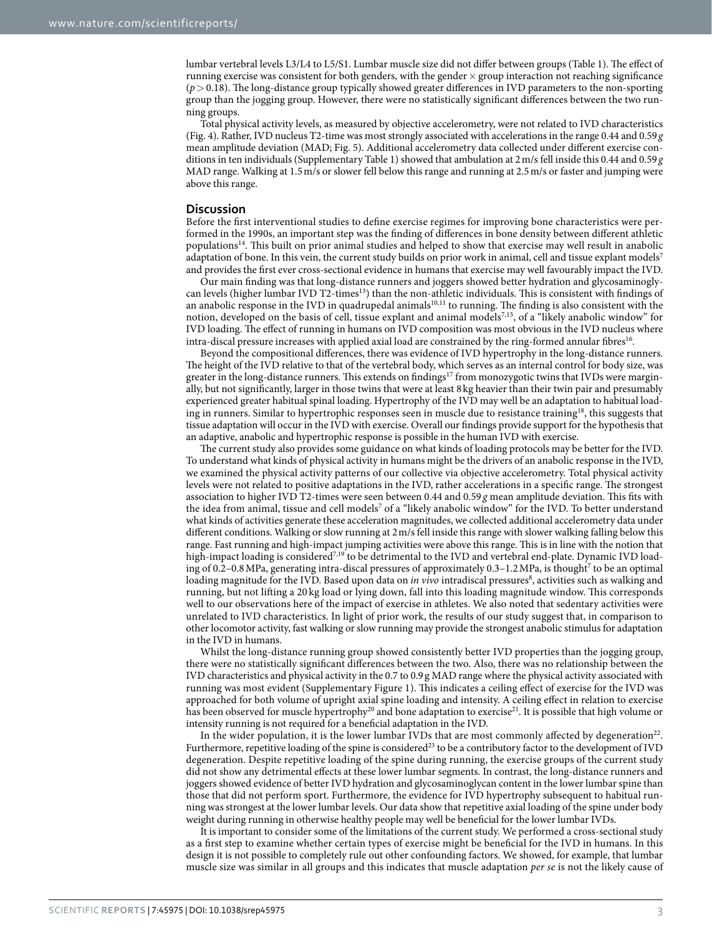lumbar vertebral levels L3/L4 to L5/S1. Lumbar muscle size did not differ between groups ([Table 1](#page-1-0)). The effect of running exercise was consistent for both genders, with the gender  $\times$  group interaction not reaching significance (*p*> 0.18). The long-distance group typically showed greater differences in IVD parameters to the non-sporting group than the jogging group. However, there were no statistically significant differences between the two running groups.

Total physical activity levels, as measured by objective accelerometry, were not related to IVD characteristics ([Fig. 4](#page-4-0)). Rather, IVD nucleus T2-time was most strongly associated with accelerations in the range 0.44 and 0.59*g* mean amplitude deviation (MAD; [Fig. 5\)](#page-4-1). Additional accelerometry data collected under different exercise conditions in ten individuals (Supplementary Table 1) showed that ambulation at 2m/s fell inside this 0.44 and 0.59 *g* MAD range. Walking at 1.5m/s or slower fell below this range and running at 2.5m/s or faster and jumping were above this range.

#### **Discussion**

Before the first interventional studies to define exercise regimes for improving bone characteristics were performed in the 1990s, an important step was the finding of differences in bone density between different athletic population[s14](#page-6-13). This built on prior animal studies and helped to show that exercise may well result in anabolic adaptation of bone. In this vein, the current study builds on prior work in animal, cell and tissue explant models<sup>[7](#page-6-6)</sup> and provides the first ever cross-sectional evidence in humans that exercise may well favourably impact the IVD.

Our main finding was that long-distance runners and joggers showed better hydration and glycosaminoglycan levels (higher lumbar IVD T2-times<sup>13</sup>) than the non-athletic individuals. This is consistent with findings of an anabolic response in the IVD in quadrupedal animals<sup>10[,11](#page-6-10)</sup> to running. The finding is also consistent with the notion, developed on the basis of cell, tissue explant and animal models<sup>7,[15](#page-6-14)</sup>, of a "likely anabolic window" for IVD loading. The effect of running in humans on IVD composition was most obvious in the IVD nucleus where intra-discal pressure increases with applied axial load are constrained by the ring-formed annular fibres<sup>16</sup>.

Beyond the compositional differences, there was evidence of IVD hypertrophy in the long-distance runners. The height of the IVD relative to that of the vertebral body, which serves as an internal control for body size, was greater in the long-distance runners. This extends on findings<sup>17</sup> from monozygotic twins that IVDs were marginally, but not significantly, larger in those twins that were at least 8kg heavier than their twin pair and presumably experienced greater habitual spinal loading. Hypertrophy of the IVD may well be an adaptation to habitual loading in runners. Similar to hypertrophic responses seen in muscle due to resistance training<sup>18</sup>, this suggests that tissue adaptation will occur in the IVD with exercise. Overall our findings provide support for the hypothesis that an adaptive, anabolic and hypertrophic response is possible in the human IVD with exercise.

The current study also provides some guidance on what kinds of loading protocols may be better for the IVD. To understand what kinds of physical activity in humans might be the drivers of an anabolic response in the IVD, we examined the physical activity patterns of our collective via objective accelerometry. Total physical activity levels were not related to positive adaptations in the IVD, rather accelerations in a specific range. The strongest association to higher IVD T2-times were seen between 0.44 and 0.59 *g* mean amplitude deviation. This fits with the idea from animal, tissue and cell models<sup>[7](#page-6-6)</sup> of a "likely anabolic window" for the IVD. To better understand what kinds of activities generate these acceleration magnitudes, we collected additional accelerometry data under different conditions. Walking or slow running at 2m/s fell inside this range with slower walking falling below this range. Fast running and high-impact jumping activities were above this range. This is in line with the notion that high-impact loading is considered<sup>7,[19](#page-6-18)</sup> to be detrimental to the IVD and vertebral end-plate. Dynamic IVD loading of 0.2-0.8 MPa, generating intra-discal pressures of approximately 0.3-1.2 MPa, is thought<sup>7</sup> to be an optimal loading magnitude for the IVD. Based upon data on *in vivo* intradiscal pressures<sup>8</sup>, activities such as walking and running, but not lifting a 20 kg load or lying down, fall into this loading magnitude window. This corresponds well to our observations here of the impact of exercise in athletes. We also noted that sedentary activities were unrelated to IVD characteristics. In light of prior work, the results of our study suggest that, in comparison to other locomotor activity, fast walking or slow running may provide the strongest anabolic stimulus for adaptation in the IVD in humans.

Whilst the long-distance running group showed consistently better IVD properties than the jogging group, there were no statistically significant differences between the two. Also, there was no relationship between the IVD characteristics and physical activity in the 0.7 to 0.9g MAD range where the physical activity associated with running was most evident (Supplementary Figure 1). This indicates a ceiling effect of exercise for the IVD was approached for both volume of upright axial spine loading and intensity. A ceiling effect in relation to exercise has been observed for muscle hypertrophy<sup>[20](#page-6-19)</sup> and bone adaptation to exercise<sup>21</sup>. It is possible that high volume or intensity running is not required for a beneficial adaptation in the IVD.

In the wider population, it is the lower lumbar IVDs that are most commonly affected by degeneration<sup>22</sup>. Furthermore, repetitive loading of the spine is considered<sup>23</sup> to be a contributory factor to the development of IVD degeneration. Despite repetitive loading of the spine during running, the exercise groups of the current study did not show any detrimental effects at these lower lumbar segments. In contrast, the long-distance runners and joggers showed evidence of better IVD hydration and glycosaminoglycan content in the lower lumbar spine than those that did not perform sport. Furthermore, the evidence for IVD hypertrophy subsequent to habitual running was strongest at the lower lumbar levels. Our data show that repetitive axial loading of the spine under body weight during running in otherwise healthy people may well be beneficial for the lower lumbar IVDs.

It is important to consider some of the limitations of the current study. We performed a cross-sectional study as a first step to examine whether certain types of exercise might be beneficial for the IVD in humans. In this design it is not possible to completely rule out other confounding factors. We showed, for example, that lumbar muscle size was similar in all groups and this indicates that muscle adaptation *per se* is not the likely cause of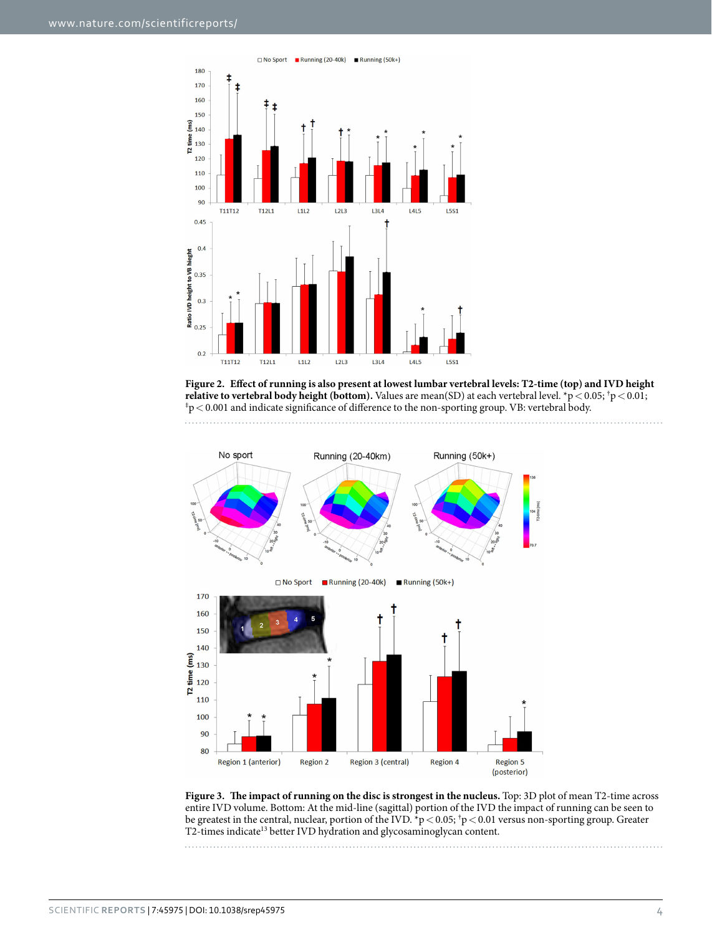

<span id="page-3-0"></span>**Figure 2. Effect of running is also present at lowest lumbar vertebral levels: T2-time (top) and IVD height relative to vertebral body height (bottom).** Values are mean(SD) at each vertebral level. \*p<0.05; <sup>†</sup>p<0.01;<br><sup>‡</sup>p<0.001 and indicate significance of difference to the non-sporting group. VB: vertebral body.  $p \approx 0.001$  and indicate significance of difference to the non-sporting group. VB: vertebral body.



<span id="page-3-1"></span>**Figure 3. The impact of running on the disc is strongest in the nucleus.** Top: 3D plot of mean T2-time across entire IVD volume. Bottom: At the mid-line (sagittal) portion of the IVD the impact of running can be seen to be greatest in the central, nuclear, portion of the IVD.  $\gamma p < 0.05$ ,  $\gamma p < 0.01$  versus non-sporting group. Greater T2-times indicate<sup>13</sup> better IVD hydration and glycosaminoglycan content.

Scientific **Reports** | 7:45975 | DOI: 10.1038/srep45975 4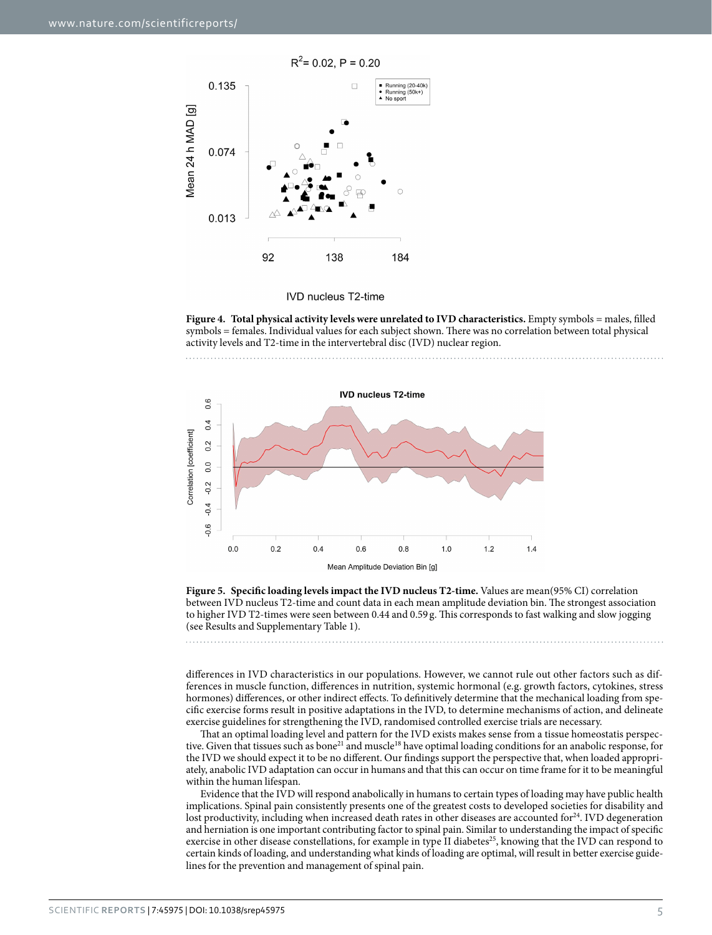

**IVD nucleus T2-time** 

<span id="page-4-0"></span>**Figure 4. Total physical activity levels were unrelated to IVD characteristics.** Empty symbols = males, filled symbols = females. Individual values for each subject shown. There was no correlation between total physical activity levels and T2-time in the intervertebral disc (IVD) nuclear region.





<span id="page-4-1"></span>**Figure 5. Specific loading levels impact the IVD nucleus T2-time.** Values are mean(95% CI) correlation between IVD nucleus T2-time and count data in each mean amplitude deviation bin. The strongest association to higher IVD T2-times were seen between 0.44 and 0.59 g. This corresponds to fast walking and slow jogging (see Results and Supplementary Table 1).

differences in IVD characteristics in our populations. However, we cannot rule out other factors such as differences in muscle function, differences in nutrition, systemic hormonal (e.g. growth factors, cytokines, stress hormones) differences, or other indirect effects. To definitively determine that the mechanical loading from specific exercise forms result in positive adaptations in the IVD, to determine mechanisms of action, and delineate exercise guidelines for strengthening the IVD, randomised controlled exercise trials are necessary.

That an optimal loading level and pattern for the IVD exists makes sense from a tissue homeostatis perspective. Given that tissues such as bone<sup>21</sup> and muscle<sup>18</sup> have optimal loading conditions for an anabolic response, for the IVD we should expect it to be no different. Our findings support the perspective that, when loaded appropriately, anabolic IVD adaptation can occur in humans and that this can occur on time frame for it to be meaningful within the human lifespan.

Evidence that the IVD will respond anabolically in humans to certain types of loading may have public health implications. Spinal pain consistently presents one of the greatest costs to developed societies for disability and lost productivity, including when increased death rates in other diseases are accounted for $24$ . IVD degeneration and herniation is one important contributing factor to spinal pain. Similar to understanding the impact of specific exercise in other disease constellations, for example in type II diabetes<sup>25</sup>, knowing that the IVD can respond to certain kinds of loading, and understanding what kinds of loading are optimal, will result in better exercise guidelines for the prevention and management of spinal pain.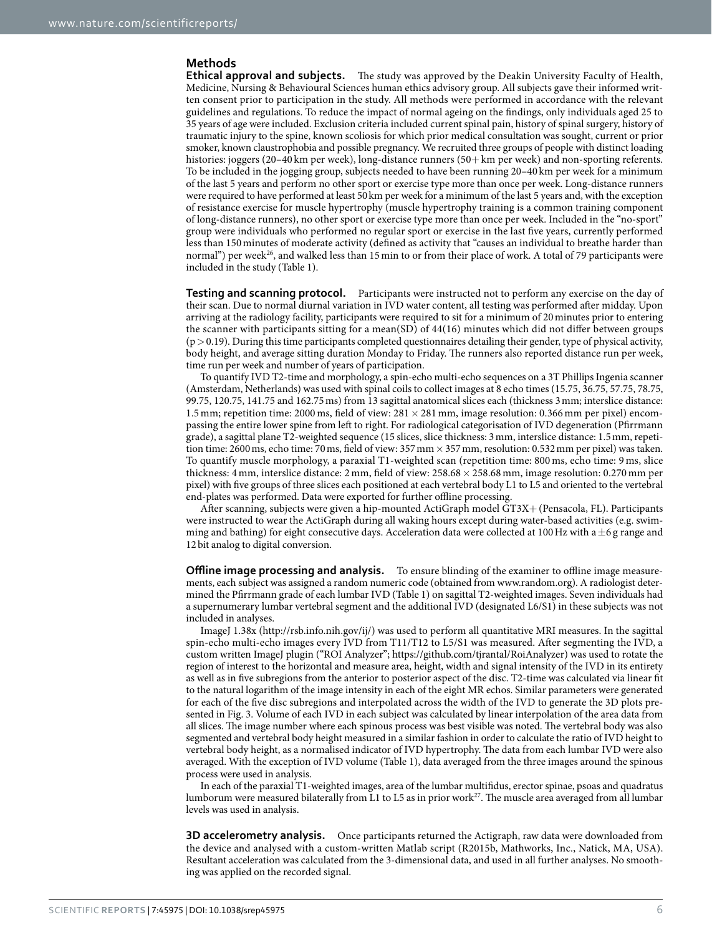#### **Methods**

**Ethical approval and subjects.** The study was approved by the Deakin University Faculty of Health, Medicine, Nursing & Behavioural Sciences human ethics advisory group. All subjects gave their informed written consent prior to participation in the study. All methods were performed in accordance with the relevant guidelines and regulations. To reduce the impact of normal ageing on the findings, only individuals aged 25 to 35 years of age were included. Exclusion criteria included current spinal pain, history of spinal surgery, history of traumatic injury to the spine, known scoliosis for which prior medical consultation was sought, current or prior smoker, known claustrophobia and possible pregnancy. We recruited three groups of people with distinct loading histories: joggers (20–40 km per week), long-distance runners (50+ km per week) and non-sporting referents. To be included in the jogging group, subjects needed to have been running 20–40 km per week for a minimum of the last 5 years and perform no other sport or exercise type more than once per week. Long-distance runners were required to have performed at least 50km per week for a minimum of the last 5 years and, with the exception of resistance exercise for muscle hypertrophy (muscle hypertrophy training is a common training component of long-distance runners), no other sport or exercise type more than once per week. Included in the "no-sport" group were individuals who performed no regular sport or exercise in the last five years, currently performed less than 150minutes of moderate activity (defined as activity that "causes an individual to breathe harder than normal") per week<sup>26</sup>, and walked less than 15 min to or from their place of work. A total of 79 participants were included in the study ([Table 1](#page-1-0)).

**Testing and scanning protocol.** Participants were instructed not to perform any exercise on the day of their scan. Due to normal diurnal variation in IVD water content, all testing was performed after midday. Upon arriving at the radiology facility, participants were required to sit for a minimum of 20minutes prior to entering the scanner with participants sitting for a mean(SD) of 44(16) minutes which did not differ between groups  $(p > 0.19)$ . During this time participants completed questionnaires detailing their gender, type of physical activity, body height, and average sitting duration Monday to Friday. The runners also reported distance run per week, time run per week and number of years of participation.

To quantify IVD T2-time and morphology, a spin-echo multi-echo sequences on a 3T Phillips Ingenia scanner (Amsterdam, Netherlands) was used with spinal coils to collect images at 8 echo times (15.75, 36.75, 57.75, 78.75, 99.75, 120.75, 141.75 and 162.75ms) from 13 sagittal anatomical slices each (thickness 3mm; interslice distance: 1.5 mm; repetition time: 2000 ms, field of view:  $281 \times 281$  mm, image resolution: 0.366 mm per pixel) encompassing the entire lower spine from left to right. For radiological categorisation of IVD degeneration (Pfirrmann grade), a sagittal plane T2-weighted sequence (15 slices, slice thickness: 3mm, interslice distance: 1.5mm, repetition time: 2600 ms, echo time: 70 ms, field of view: 357 mm  $\times$  357 mm, resolution: 0.532 mm per pixel) was taken. To quantify muscle morphology, a paraxial T1-weighted scan (repetition time: 800 ms, echo time: 9 ms, slice thickness: 4 mm, interslice distance: 2 mm, field of view: 258.68 × 258.68 mm, image resolution: 0.270 mm per pixel) with five groups of three slices each positioned at each vertebral body L1 to L5 and oriented to the vertebral end-plates was performed. Data were exported for further offline processing.

After scanning, subjects were given a hip-mounted ActiGraph model GT3X+ (Pensacola, FL). Participants were instructed to wear the ActiGraph during all waking hours except during water-based activities (e.g. swimming and bathing) for eight consecutive days. Acceleration data were collected at 100 Hz with a  $\pm$ 6 g range and 12bit analog to digital conversion.

**Offline image processing and analysis.** To ensure blinding of the examiner to offline image measurements, each subject was assigned a random numeric code (obtained from [www.random.org](http://www.random.org)). A radiologist determined the Pfirrmann grade of each lumbar IVD [\(Table 1\)](#page-1-0) on sagittal T2-weighted images. Seven individuals had a supernumerary lumbar vertebral segment and the additional IVD (designated L6/S1) in these subjects was not included in analyses.

ImageJ 1.38x ([http://rsb.info.nih.gov/ij/\)](http://rsb.info.nih.gov/ij/) was used to perform all quantitative MRI measures. In the sagittal spin-echo multi-echo images every IVD from T11/T12 to L5/S1 was measured. After segmenting the IVD, a custom written ImageJ plugin ("ROI Analyzer";<https://github.com/tjrantal/RoiAnalyzer>) was used to rotate the region of interest to the horizontal and measure area, height, width and signal intensity of the IVD in its entirety as well as in five subregions from the anterior to posterior aspect of the disc. T2-time was calculated via linear fit to the natural logarithm of the image intensity in each of the eight MR echos. Similar parameters were generated for each of the five disc subregions and interpolated across the width of the IVD to generate the 3D plots presented in [Fig. 3.](#page-3-1) Volume of each IVD in each subject was calculated by linear interpolation of the area data from all slices. The image number where each spinous process was best visible was noted. The vertebral body was also segmented and vertebral body height measured in a similar fashion in order to calculate the ratio of IVD height to vertebral body height, as a normalised indicator of IVD hypertrophy. The data from each lumbar IVD were also averaged. With the exception of IVD volume ([Table 1\)](#page-1-0), data averaged from the three images around the spinous process were used in analysis.

In each of the paraxial T1-weighted images, area of the lumbar multifidus, erector spinae, psoas and quadratus lumborum were measured bilaterally from L1 to L5 as in prior work<sup>[27](#page-6-26)</sup>. The muscle area averaged from all lumbar levels was used in analysis.

**3D accelerometry analysis.** Once participants returned the Actigraph, raw data were downloaded from the device and analysed with a custom-written Matlab script (R2015b, Mathworks, Inc., Natick, MA, USA). Resultant acceleration was calculated from the 3-dimensional data, and used in all further analyses. No smoothing was applied on the recorded signal.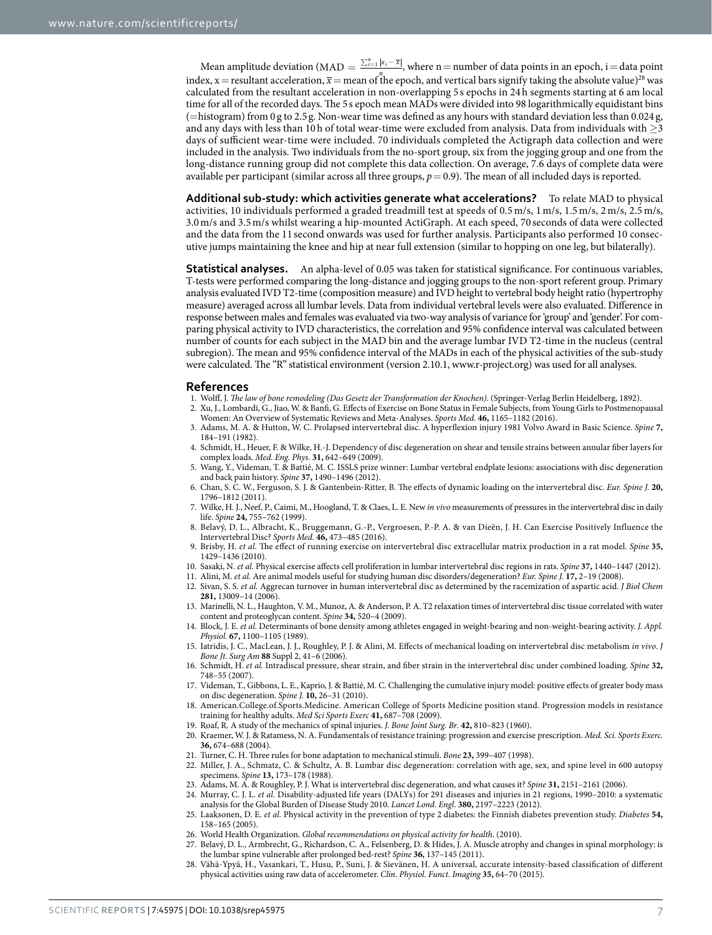Mean amplitude deviation (MAD =  $\frac{\sum_{i=1}^{n}|x_i-\overline{x}|}{n}$ , where n = number of data points in an epoch, i = data point index, x = resultant acceleration,  $\overline{x}$  = mean of the epoch, and vertical bars signify taking the absolute value)<sup>28</sup> was calculated from the resultant acceleration in non-overlapping 5 s epochs in 24h segments starting at 6 am local time for all of the recorded days. The 5s epoch mean MADs were divided into 98 logarithmically equidistant bins (=histogram) from 0 g to 2.5g. Non-wear time was defined as any hours with standard deviation less than 0.024 g, and any days with less than 10h of total wear-time were excluded from analysis. Data from individuals with ≥3 days of sufficient wear-time were included. 70 individuals completed the Actigraph data collection and were included in the analysis. Two individuals from the no-sport group, six from the jogging group and one from the long-distance running group did not complete this data collection. On average, 7.6 days of complete data were available per participant (similar across all three groups,  $p=0.9$ ). The mean of all included days is reported.

**Additional sub-study: which activities generate what accelerations?** To relate MAD to physical activities, 10 individuals performed a graded treadmill test at speeds of 0.5 m/s, 1 m/s, 1.5 m/s, 2 m/s, 2.5 m/s, 3.0 m/s and 3.5m/s whilst wearing a hip-mounted ActiGraph. At each speed, 70 seconds of data were collected and the data from the 11 second onwards was used for further analysis. Participants also performed 10 consecutive jumps maintaining the knee and hip at near full extension (similar to hopping on one leg, but bilaterally).

**Statistical analyses.** An alpha-level of 0.05 was taken for statistical significance. For continuous variables, T-tests were performed comparing the long-distance and jogging groups to the non-sport referent group. Primary analysis evaluated IVD T2-time (composition measure) and IVD height to vertebral body height ratio (hypertrophy measure) averaged across all lumbar levels. Data from individual vertebral levels were also evaluated. Difference in response between males and females was evaluated via two-way analysis of variance for 'group' and 'gender'. For comparing physical activity to IVD characteristics, the correlation and 95% confidence interval was calculated between number of counts for each subject in the MAD bin and the average lumbar IVD T2-time in the nucleus (central subregion). The mean and 95% confidence interval of the MADs in each of the physical activities of the sub-study were calculated. The "R" statistical environment (version 2.10.1, [www.r-project.org](http://www.r-project.org)) was used for all analyses.

#### **References**

- <span id="page-6-0"></span>1. Wolff, J. *The law of bone remodeling (Das Gesetz der Transformation der Knochen)*. (Springer-Verlag Berlin Heidelberg, 1892).
- <span id="page-6-1"></span>2. Xu, J., Lombardi, G., Jiao, W. & Banfi, G. Effects of Exercise on Bone Status in Female Subjects, from Young Girls to Postmenopausal Women: An Overview of Systematic Reviews and Meta-Analyses. *Sports Med*. **46,** 1165–1182 (2016).
- <span id="page-6-2"></span>3. Adams, M. A. & Hutton, W. C. Prolapsed intervertebral disc. A hyperflexion injury 1981 Volvo Award in Basic Science. *Spine* **7,** 184–191 (1982).
- <span id="page-6-3"></span>4. Schmidt, H., Heuer, F. & Wilke, H.-J. Dependency of disc degeneration on shear and tensile strains between annular fiber layers for complex loads. *Med. Eng. Phys.* **31,** 642–649 (2009).
- <span id="page-6-4"></span>5. Wang, Y., Videman, T. & Battié, M. C. ISSLS prize winner: Lumbar vertebral endplate lesions: associations with disc degeneration and back pain history. *Spine* **37,** 1490–1496 (2012).
- <span id="page-6-5"></span>6. Chan, S. C. W., Ferguson, S. J. & Gantenbein-Ritter, B. The effects of dynamic loading on the intervertebral disc. *Eur. Spine J.* **20,** 1796–1812 (2011).
- <span id="page-6-6"></span>7. Wilke, H. J., Neef, P., Caimi, M., Hoogland, T. & Claes, L. E. New *in vivo* measurements of pressures in the intervertebral disc in daily life. *Spine* **24,** 755–762 (1999).
- <span id="page-6-7"></span>8. Belavý, D. L., Albracht, K., Bruggemann, G.-P., Vergroesen, P.-P. A. & van Dieën, J. H. Can Exercise Positively Influence the Intervertebral Disc? *Sports Med*. **46,** 473–485 (2016).
- <span id="page-6-8"></span>9. Brisby, H. *et al.* The effect of running exercise on intervertebral disc extracellular matrix production in a rat model. *Spine* **35,** 1429–1436 (2010).
- <span id="page-6-9"></span>10. Sasaki, N. *et al.* Physical exercise affects cell proliferation in lumbar intervertebral disc regions in rats. *Spine* **37,** 1440–1447 (2012).
- <span id="page-6-11"></span><span id="page-6-10"></span>11. Alini, M. *et al.* Are animal models useful for studying human disc disorders/degeneration? *Eur. Spine J.* **17,** 2–19 (2008).
- 12. Sivan, S. S. *et al.* Aggrecan turnover in human intervertebral disc as determined by the racemization of aspartic acid. *J Biol Chem* **281,** 13009–14 (2006).
- <span id="page-6-12"></span>13. Marinelli, N. L., Haughton, V. M., Munoz, A. & Anderson, P. A. T2 relaxation times of intervertebral disc tissue correlated with water content and proteoglycan content. *Spine* **34,** 520–4 (2009).
- <span id="page-6-13"></span>14. Block, J. E. *et al.* Determinants of bone density among athletes engaged in weight-bearing and non-weight-bearing activity. *J. Appl. Physiol.* **67,** 1100–1105 (1989).
- <span id="page-6-14"></span>15. Iatridis, J. C., MacLean, J. J., Roughley, P. J. & Alini, M. Effects of mechanical loading on intervertebral disc metabolism *in vivo*. *J Bone Jt. Surg Am* **88** Suppl 2, 41–6 (2006).
- <span id="page-6-15"></span>16. Schmidt, H. *et al.* Intradiscal pressure, shear strain, and fiber strain in the intervertebral disc under combined loading. *Spine* **32,** 748–55 (2007).
- <span id="page-6-16"></span>17. Videman, T., Gibbons, L. E., Kaprio, J. & Battié, M. C. Challenging the cumulative injury model: positive effects of greater body mass on disc degeneration. *Spine J.* **10,** 26–31 (2010).
- <span id="page-6-17"></span>18. American.College.of.Sports.Medicine. American College of Sports Medicine position stand. Progression models in resistance training for healthy adults. *Med Sci Sports Exerc* **41,** 687–708 (2009).
- <span id="page-6-19"></span><span id="page-6-18"></span>19. Roaf, R. A study of the mechanics of spinal injuries. *J. Bone Joint Surg. Br*. **42,** 810–823 (1960).
- 20. Kraemer, W. J. & Ratamess, N. A. Fundamentals of resistance training: progression and exercise prescription. *Med. Sci. Sports Exerc.* **36,** 674–688 (2004).
- <span id="page-6-20"></span>21. Turner, C. H. Three rules for bone adaptation to mechanical stimuli. *Bone* **23,** 399–407 (1998).
- <span id="page-6-21"></span>22. Miller, J. A., Schmatz, C. & Schultz, A. B. Lumbar disc degeneration: correlation with age, sex, and spine level in 600 autopsy specimens. *Spine* **13,** 173–178 (1988).
- 23. Adams, M. A. & Roughley, P. J. What is intervertebral disc degeneration, and what causes it? *Spine* **31,** 2151–2161 (2006).
- <span id="page-6-23"></span><span id="page-6-22"></span>24. Murray, C. J. L. *et al.* Disability-adjusted life years (DALYs) for 291 diseases and injuries in 21 regions, 1990–2010: a systematic analysis for the Global Burden of Disease Study 2010. *Lancet Lond. Engl*. **380,** 2197–2223 (2012).
- <span id="page-6-24"></span>25. Laaksonen, D. E. *et al.* Physical activity in the prevention of type 2 diabetes: the Finnish diabetes prevention study. *Diabetes* **54,** 158–165 (2005).
- <span id="page-6-25"></span>26. World Health Organization. *Global recommendations on physical activity for health*. (2010).
- <span id="page-6-26"></span>27. Belavý, D. L., Armbrecht, G., Richardson, C. A., Felsenberg, D. & Hides, J. A. Muscle atrophy and changes in spinal morphology: is the lumbar spine vulnerable after prolonged bed-rest? *Spine* **36,** 137–145 (2011).
- <span id="page-6-27"></span>28. Vähä-Ypyä, H., Vasankari, T., Husu, P., Suni, J. & Sievänen, H. A universal, accurate intensity-based classification of different physical activities using raw data of accelerometer. *Clin. Physiol. Funct. Imaging* **35,** 64–70 (2015).